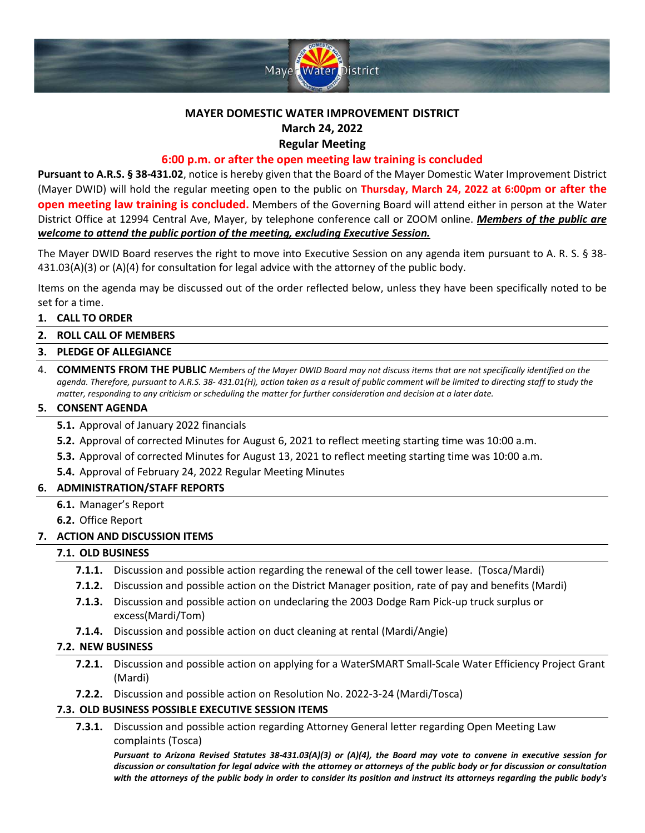

# **MAYER DOMESTIC WATER IMPROVEMENT DISTRICT**

### **March 24, 2022**

**Regular Meeting**

# **6:00 p.m. or after the open meeting law training is concluded**

**Pursuant to A.R.S. § 38‐431.02**, notice is hereby given that the Board of the Mayer Domestic Water Improvement District (Mayer DWID) will hold the regular meeting open to the public on **Thursday, March 24, 2022 at 6:00pm or after the open meeting law training is concluded.** Members of the Governing Board will attend either in person at the Water District Office at 12994 Central Ave, Mayer, by telephone conference call or ZOOM online. *Members of the public are welcome to attend the public portion of the meeting, excluding Executive Session.*

The Mayer DWID Board reserves the right to move into Executive Session on any agenda item pursuant to A. R. S. § 38- 431.03(A)(3) or (A)(4) for consultation for legal advice with the attorney of the public body.

Items on the agenda may be discussed out of the order reflected below, unless they have been specifically noted to be set for a time.

## **1. CALL TO ORDER**

### **2. ROLL CALL OF MEMBERS**

### **3. PLEDGE OF ALLEGIANCE**

4. **COMMENTS FROM THE PUBLIC** *Members of the Mayer DWID Board may not discuss items that are not specifically identified on the agenda. Therefore, pursuant to A.R.S. 38- 431.01(H), action taken as a result of public comment will be limited to directing staff to study the matter, responding to any criticism or scheduling the matter for further consideration and decision at a later date.*

### **5. CONSENT AGENDA**

- **5.1.** Approval of January 2022 financials
- **5.2.** Approval of corrected Minutes for August 6, 2021 to reflect meeting starting time was 10:00 a.m.
- **5.3.** Approval of corrected Minutes for August 13, 2021 to reflect meeting starting time was 10:00 a.m.
- **5.4.** Approval of February 24, 2022 Regular Meeting Minutes

## **6. ADMINISTRATION/STAFF REPORTS**

- **6.1.** Manager's Report
- **6.2.** Office Report

#### **7. ACTION AND DISCUSSION ITEMS**

## **7.1. OLD BUSINESS**

- **7.1.1.** Discussion and possible action regarding the renewal of the cell tower lease. (Tosca/Mardi)
- **7.1.2.** Discussion and possible action on the District Manager position, rate of pay and benefits (Mardi)
- **7.1.3.** Discussion and possible action on undeclaring the 2003 Dodge Ram Pick-up truck surplus or excess(Mardi/Tom)
- **7.1.4.** Discussion and possible action on duct cleaning at rental (Mardi/Angie)

#### **7.2. NEW BUSINESS**

- **7.2.1.** Discussion and possible action on applying for a WaterSMART Small-Scale Water Efficiency Project Grant (Mardi)
- **7.2.2.** Discussion and possible action on Resolution No. 2022-3-24 (Mardi/Tosca)

## **7.3. OLD BUSINESS POSSIBLE EXECUTIVE SESSION ITEMS**

**7.3.1.** Discussion and possible action regarding Attorney General letter regarding Open Meeting Law complaints (Tosca)

*Pursuant to Arizona Revised Statutes 38-431.03(A)(3) or (A)(4), the Board may vote to convene in executive session for discussion or consultation for legal advice with the attorney or attorneys of the public body or for discussion or consultation with the attorneys of the public body in order to consider its position and instruct its attorneys regarding the public body's*